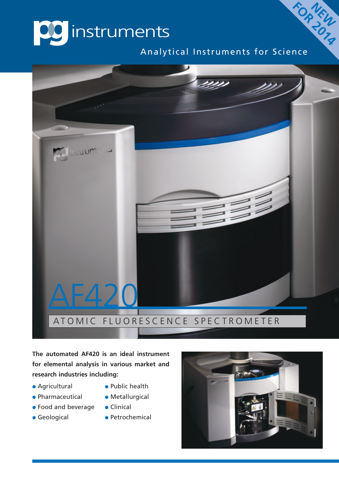

Analytical Instruments for Science

**FOR NEW** 



**The automated AF420 is an ideal instrument for elemental analysis in various market and research industries including:**

- Agricultural **•** Public health
- Pharmaceutical Metallurgical
- $\bullet$  Food and beverage  $\bullet$  Clinical
- 
- 
- 
- 
- Geological Petrochemical

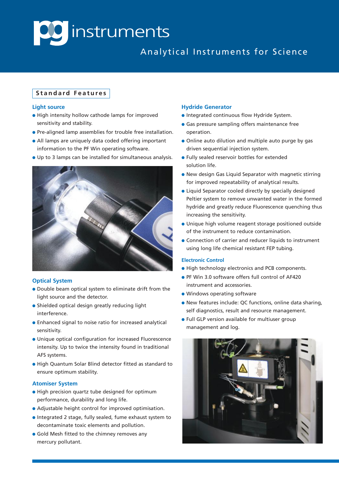# **DC** instruments

### Analytical Instruments for Science

#### **S t a n d a r d F e a t u r e s**

#### **Light source**

- **.** High intensity hollow cathode lamps for improved sensitivity and stability.
- **•** Pre-aligned lamp assemblies for trouble free installation.
- All lamps are uniquely data coded offering important information to the PF Win operating software.
- l Up to 3 lamps can be installed for simultaneous analysis.



#### **Optical System**

- Double beam optical system to eliminate drift from the light source and the detector.
- $\bullet$  Shielded optical design greatly reducing light interference.
- **•** Enhanced signal to noise ratio for increased analytical sensitivity.
- l Unique optical configuration for increased Fluorescence intensity. Up to twice the intensity found in traditional AFS systems.
- l High Quantum Solar Blind detector fitted as standard to ensure optimum stability.

#### **Atomiser System**

- $\bullet$  High precision quartz tube designed for optimum performance, durability and long life.
- Adjustable height control for improved optimisation.
- l Integrated 2 stage, fully sealed, fume exhaust system to decontaminate toxic elements and pollution.
- **.** Gold Mesh fitted to the chimney removes any mercury pollutant.

#### **Hydride Generator**

- **.** Integrated continuous flow Hydride System.
- **Gas pressure sampling offers maintenance free** operation.
- Online auto dilution and multiple auto purge by gas driven sequential injection system.
- **.** Fully sealed reservoir bottles for extended solution life.
- **.** New design Gas Liquid Separator with magnetic stirring for improved repeatability of analytical results.
- Liquid Separator cooled directly by specially designed Peltier system to remove unwanted water in the formed hydride and greatly reduce Fluorescence quenching thus increasing the sensitivity.
- **.** Unique high volume reagent storage positioned outside of the instrument to reduce contamination.
- **Connection of carrier and reducer liquids to instrument** using long life chemical resistant FEP tubing.

#### **Electronic Control**

- **.** High technology electronics and PCB components.
- **PF Win 3.0 software offers full control of AF420** instrument and accessories.
- $\bullet$  Windows operating software
- **.** New features include: QC functions, online data sharing, self diagnostics, result and resource management.
- **.** Full GLP version available for multiuser group management and log.

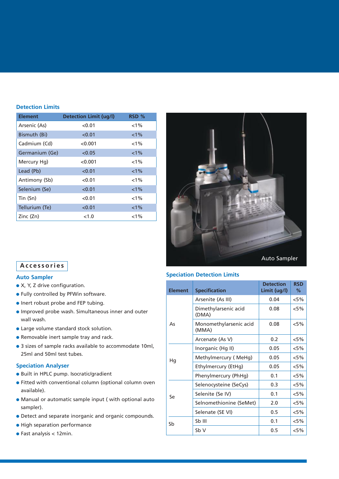#### **Detection Limits**

| <b>Element</b> | <b>Detection Limit (ug/l)</b> | RSD %   |
|----------------|-------------------------------|---------|
| Arsenic (As)   | < 0.01                        | $< 1\%$ |
| Bismuth (Bi)   | < 0.01                        | $< 1\%$ |
| Cadmium (Cd)   | < 0.001                       | $< 1\%$ |
| Germanium (Ge) | < 0.05                        | $1\%$   |
| Mercury Hg)    | < 0.001                       | $< 1\%$ |
| Lead (Pb)      | < 0.01                        | $< 1\%$ |
| Antimony (Sb)  | < 0.01                        | $< 1\%$ |
| Selenium (Se)  | < 0.01                        | $1\%$   |
| Tin (Sn)       | < 0.01                        | $< 1\%$ |
| Tellurium (Te) | < 0.01                        | $< 1\%$ |
| Zinc (Zn)      | < 1.0                         | $< 1\%$ |



#### **A c c e s s o r i e s**

#### **Auto Sampler**

- $\bullet$  X, Y, Z drive configuration.
- **.** Fully controlled by PFWin software.
- $\bullet$  Inert robust probe and FEP tubing.
- **.** Improved probe wash. Simultaneous inner and outer wall wash.
- **.** Large volume standard stock solution.
- **Removable inert sample tray and rack.**
- 3 sizes of sample racks available to accommodate 10ml, 25ml and 50ml test tubes.

#### **Speciation Analyser**

- **.** Built in HPLC pump. Isocratic/gradient
- **•** Fitted with conventional column (optional column oven available).
- $\bullet$  Manual or automatic sample input ( with optional auto sampler).
- **•** Detect and separate inorganic and organic compounds.
- **.** High separation performance
- $\bullet$  Fast analysis < 12min.

#### **Speciation Detection Limits**

| <b>Element</b> | <b>Specification</b>            | <b>Detection</b><br>Limit (ug/l) | <b>RSD</b><br>℅ |
|----------------|---------------------------------|----------------------------------|-----------------|
| As             | Arsenite (As III)               | 0.04                             | $< 5\%$         |
|                | Dimethylarsenic acid<br>(DMA)   | 0.08                             | $< 5\%$         |
|                | Monomethylarsenic acid<br>(MMA) | 0.08                             | $< 5\%$         |
|                | Arcenate (As V)                 | 0.2                              | $< 5\%$         |
| Hg             | Inorganic (Hg II)               | 0.05                             | $< 5\%$         |
|                | Methylmercury (MeHg)            | 0.05                             | $< 5\%$         |
|                | Ethylmercury (EtHg)             | 0.05                             | $< 5\%$         |
|                | Phenylmercury (PhHg)            | 0.1                              | $< 5\%$         |
| Se             | Selenocysteine (SeCys)          | 0.3                              | $< 5\%$         |
|                | Selenite (Se IV)                | 0.1                              | $< 5\%$         |
|                | Selnomethionine (SeMet)         | 2.0                              | $< 5\%$         |
|                | Selenate (SE VI)                | 0.5                              | $< 5\%$         |
| Sb             | Sb III                          | 0.1                              | $< 5\%$         |
|                | Sb V                            | 0.5                              | $< 5\%$         |